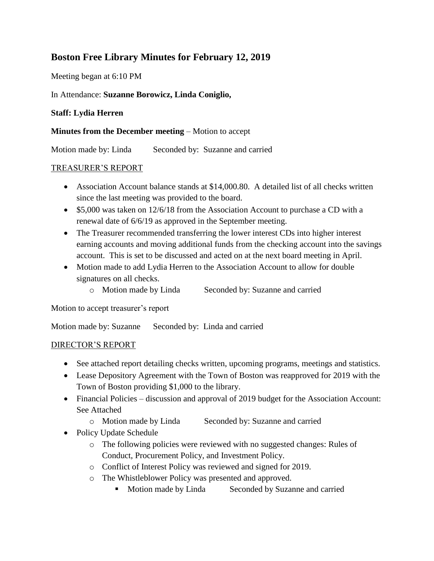## **Boston Free Library Minutes for February 12, 2019**

Meeting began at 6:10 PM

## In Attendance: **Suzanne Borowicz, Linda Coniglio,**

## **Staff: Lydia Herren**

**Minutes from the December meeting** – Motion to accept

Motion made by: Linda Seconded by: Suzanne and carried

## TREASURER'S REPORT

- Association Account balance stands at \$14,000.80. A detailed list of all checks written since the last meeting was provided to the board.
- \$5,000 was taken on 12/6/18 from the Association Account to purchase a CD with a renewal date of 6/6/19 as approved in the September meeting.
- The Treasurer recommended transferring the lower interest CDs into higher interest earning accounts and moving additional funds from the checking account into the savings account. This is set to be discussed and acted on at the next board meeting in April.
- Motion made to add Lydia Herren to the Association Account to allow for double signatures on all checks.
	- o Motion made by Linda Seconded by: Suzanne and carried

Motion to accept treasurer's report

Motion made by: Suzanne Seconded by: Linda and carried

### DIRECTOR'S REPORT

- See attached report detailing checks written, upcoming programs, meetings and statistics.
- Lease Depository Agreement with the Town of Boston was reapproved for 2019 with the Town of Boston providing \$1,000 to the library.
- Financial Policies discussion and approval of 2019 budget for the Association Account: See Attached
	- o Motion made by Linda Seconded by: Suzanne and carried
- Policy Update Schedule
	- o The following policies were reviewed with no suggested changes: Rules of Conduct, Procurement Policy, and Investment Policy.
	- o Conflict of Interest Policy was reviewed and signed for 2019.
	- o The Whistleblower Policy was presented and approved.
		- **Motion made by Linda** Seconded by Suzanne and carried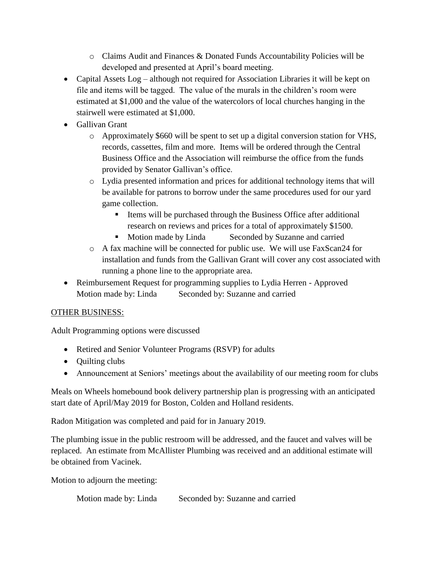- $\circ$  Claims Audit and Finances & Donated Funds Accountability Policies will be developed and presented at April's board meeting.
- Capital Assets Log although not required for Association Libraries it will be kept on file and items will be tagged. The value of the murals in the children's room were estimated at \$1,000 and the value of the watercolors of local churches hanging in the stairwell were estimated at \$1,000.
- Gallivan Grant
	- o Approximately \$660 will be spent to set up a digital conversion station for VHS, records, cassettes, film and more. Items will be ordered through the Central Business Office and the Association will reimburse the office from the funds provided by Senator Gallivan's office.
	- o Lydia presented information and prices for additional technology items that will be available for patrons to borrow under the same procedures used for our yard game collection.
		- $\blacksquare$  Items will be purchased through the Business Office after additional research on reviews and prices for a total of approximately \$1500.
		- **Motion made by Linda** Seconded by Suzanne and carried
	- o A fax machine will be connected for public use. We will use FaxScan24 for installation and funds from the Gallivan Grant will cover any cost associated with running a phone line to the appropriate area.
- Reimbursement Request for programming supplies to Lydia Herren Approved Motion made by: Linda Seconded by: Suzanne and carried

## OTHER BUSINESS:

Adult Programming options were discussed

- Retired and Senior Volunteer Programs (RSVP) for adults
- Quilting clubs
- Announcement at Seniors' meetings about the availability of our meeting room for clubs

Meals on Wheels homebound book delivery partnership plan is progressing with an anticipated start date of April/May 2019 for Boston, Colden and Holland residents.

Radon Mitigation was completed and paid for in January 2019.

The plumbing issue in the public restroom will be addressed, and the faucet and valves will be replaced. An estimate from McAllister Plumbing was received and an additional estimate will be obtained from Vacinek.

Motion to adjourn the meeting:

Motion made by: Linda Seconded by: Suzanne and carried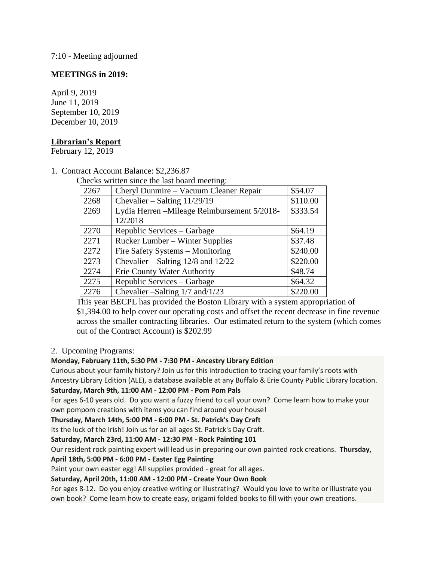7:10 - Meeting adjourned

#### **MEETINGS in 2019:**

April 9, 2019 June 11, 2019 September 10, 2019 December 10, 2019

#### **Librarian's Report**

February 12, 2019

1. Contract Account Balance: \$2,236.87

Checks written since the last board meeting:

| 2267 | Cheryl Dunmire – Vacuum Cleaner Repair      | \$54.07  |
|------|---------------------------------------------|----------|
| 2268 | Chevalier – Salting $11/29/19$              | \$110.00 |
| 2269 | Lydia Herren -Mileage Reimbursement 5/2018- | \$333.54 |
|      | 12/2018                                     |          |
| 2270 | Republic Services – Garbage                 | \$64.19  |
| 2271 | <b>Rucker Lumber – Winter Supplies</b>      | \$37.48  |
| 2272 | Fire Safety Systems - Monitoring            | \$240.00 |
| 2273 | Chevalier – Salting $12/8$ and $12/22$      | \$220.00 |
| 2274 | Erie County Water Authority                 | \$48.74  |
| 2275 | Republic Services – Garbage                 | \$64.32  |
| 2276 | Chevalier -Salting 1/7 and/1/23             | \$220.00 |

This year BECPL has provided the Boston Library with a system appropriation of \$1,394.00 to help cover our operating costs and offset the recent decrease in fine revenue across the smaller contracting libraries. Our estimated return to the system (which comes out of the Contract Account) is \$202.99

#### 2. Upcoming Programs:

#### **Monday, February 11th, 5:30 PM - 7:30 PM - Ancestry Library Edition**

Curious about your family history? Join us for this introduction to tracing your family's roots with Ancestry Library Edition (ALE), a database available at any Buffalo & Erie County Public Library location.

### **Saturday, March 9th, 11:00 AM - 12:00 PM - Pom Pom Pals**

For ages 6-10 years old. Do you want a fuzzy friend to call your own? Come learn how to make your own pompom creations with items you can find around your house!

#### **Thursday, March 14th, 5:00 PM - 6:00 PM - St. Patrick's Day Craft**

Its the luck of the Irish! Join us for an all ages St. Patrick's Day Craft.

#### **Saturday, March 23rd, 11:00 AM - 12:30 PM - Rock Painting 101**

Our resident rock painting expert will lead us in preparing our own painted rock creations. **Thursday,** 

#### **April 18th, 5:00 PM - 6:00 PM - Easter Egg Painting**

Paint your own easter egg! All supplies provided - great for all ages.

#### **Saturday, April 20th, 11:00 AM - 12:00 PM - Create Your Own Book**

For ages 8-12. Do you enjoy creative writing or illustrating? Would you love to write or illustrate you own book? Come learn how to create easy, origami folded books to fill with your own creations.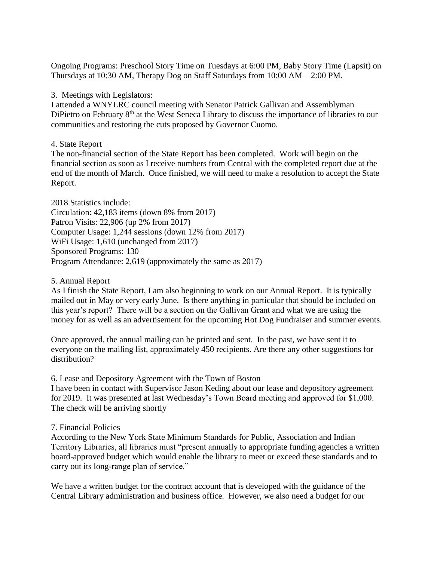Ongoing Programs: Preschool Story Time on Tuesdays at 6:00 PM, Baby Story Time (Lapsit) on Thursdays at 10:30 AM, Therapy Dog on Staff Saturdays from 10:00 AM – 2:00 PM.

3. Meetings with Legislators:

I attended a WNYLRC council meeting with Senator Patrick Gallivan and Assemblyman DiPietro on February 8<sup>th</sup> at the West Seneca Library to discuss the importance of libraries to our communities and restoring the cuts proposed by Governor Cuomo.

#### 4. State Report

The non-financial section of the State Report has been completed. Work will begin on the financial section as soon as I receive numbers from Central with the completed report due at the end of the month of March. Once finished, we will need to make a resolution to accept the State Report.

2018 Statistics include: Circulation: 42,183 items (down 8% from 2017) Patron Visits: 22,906 (up 2% from 2017) Computer Usage: 1,244 sessions (down 12% from 2017) WiFi Usage: 1,610 (unchanged from 2017) Sponsored Programs: 130 Program Attendance: 2,619 (approximately the same as 2017)

#### 5. Annual Report

As I finish the State Report, I am also beginning to work on our Annual Report. It is typically mailed out in May or very early June. Is there anything in particular that should be included on this year's report? There will be a section on the Gallivan Grant and what we are using the money for as well as an advertisement for the upcoming Hot Dog Fundraiser and summer events.

Once approved, the annual mailing can be printed and sent. In the past, we have sent it to everyone on the mailing list, approximately 450 recipients. Are there any other suggestions for distribution?

6. Lease and Depository Agreement with the Town of Boston

I have been in contact with Supervisor Jason Keding about our lease and depository agreement for 2019. It was presented at last Wednesday's Town Board meeting and approved for \$1,000. The check will be arriving shortly

#### 7. Financial Policies

According to the New York State Minimum Standards for Public, Association and Indian Territory Libraries, all libraries must "present annually to appropriate funding agencies a written board-approved budget which would enable the library to meet or exceed these standards and to carry out its long-range plan of service."

We have a written budget for the contract account that is developed with the guidance of the Central Library administration and business office. However, we also need a budget for our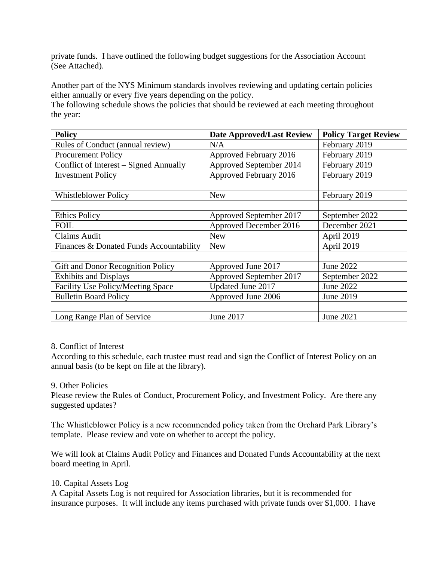private funds. I have outlined the following budget suggestions for the Association Account (See Attached).

Another part of the NYS Minimum standards involves reviewing and updating certain policies either annually or every five years depending on the policy.

The following schedule shows the policies that should be reviewed at each meeting throughout the year:

| <b>Policy</b>                           | <b>Date Approved/Last Review</b> | <b>Policy Target Review</b> |
|-----------------------------------------|----------------------------------|-----------------------------|
| Rules of Conduct (annual review)        | N/A                              | February 2019               |
| Procurement Policy                      | Approved February 2016           | February 2019               |
| Conflict of Interest – Signed Annually  | Approved September 2014          | February 2019               |
| <b>Investment Policy</b>                | Approved February 2016           | February 2019               |
|                                         |                                  |                             |
| <b>Whistleblower Policy</b>             | <b>New</b>                       | February 2019               |
|                                         |                                  |                             |
| <b>Ethics Policy</b>                    | Approved September 2017          | September 2022              |
| <b>FOIL</b>                             | Approved December 2016           | December 2021               |
| <b>Claims Audit</b>                     | <b>New</b>                       | April 2019                  |
| Finances & Donated Funds Accountability | <b>New</b>                       | April 2019                  |
|                                         |                                  |                             |
| Gift and Donor Recognition Policy       | Approved June 2017               | June 2022                   |
| <b>Exhibits and Displays</b>            | Approved September 2017          | September 2022              |
| Facility Use Policy/Meeting Space       | Updated June 2017                | June 2022                   |
| <b>Bulletin Board Policy</b>            | Approved June 2006               | June 2019                   |
|                                         |                                  |                             |
| Long Range Plan of Service              | June 2017                        | June 2021                   |

#### 8. Conflict of Interest

According to this schedule, each trustee must read and sign the Conflict of Interest Policy on an annual basis (to be kept on file at the library).

#### 9. Other Policies

Please review the Rules of Conduct, Procurement Policy, and Investment Policy. Are there any suggested updates?

The Whistleblower Policy is a new recommended policy taken from the Orchard Park Library's template. Please review and vote on whether to accept the policy.

We will look at Claims Audit Policy and Finances and Donated Funds Accountability at the next board meeting in April.

#### 10. Capital Assets Log

A Capital Assets Log is not required for Association libraries, but it is recommended for insurance purposes. It will include any items purchased with private funds over \$1,000. I have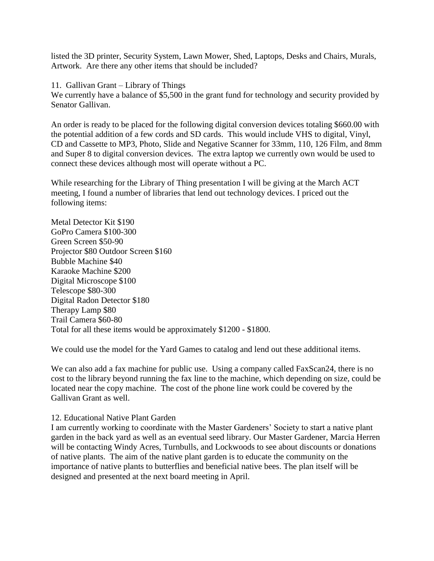listed the 3D printer, Security System, Lawn Mower, Shed, Laptops, Desks and Chairs, Murals, Artwork. Are there any other items that should be included?

11. Gallivan Grant – Library of Things

We currently have a balance of \$5,500 in the grant fund for technology and security provided by Senator Gallivan.

An order is ready to be placed for the following digital conversion devices totaling \$660.00 with the potential addition of a few cords and SD cards. This would include VHS to digital, Vinyl, CD and Cassette to MP3, Photo, Slide and Negative Scanner for 33mm, 110, 126 Film, and 8mm and Super 8 to digital conversion devices. The extra laptop we currently own would be used to connect these devices although most will operate without a PC.

While researching for the Library of Thing presentation I will be giving at the March ACT meeting, I found a number of libraries that lend out technology devices. I priced out the following items:

Metal Detector Kit \$190 GoPro Camera \$100-300 Green Screen \$50-90 Projector \$80 Outdoor Screen \$160 Bubble Machine \$40 Karaoke Machine \$200 Digital Microscope \$100 Telescope \$80-300 Digital Radon Detector \$180 Therapy Lamp \$80 Trail Camera \$60-80 Total for all these items would be approximately \$1200 - \$1800.

We could use the model for the Yard Games to catalog and lend out these additional items.

We can also add a fax machine for public use. Using a company called FaxScan24, there is no cost to the library beyond running the fax line to the machine, which depending on size, could be located near the copy machine. The cost of the phone line work could be covered by the Gallivan Grant as well.

#### 12. Educational Native Plant Garden

I am currently working to coordinate with the Master Gardeners' Society to start a native plant garden in the back yard as well as an eventual seed library. Our Master Gardener, Marcia Herren will be contacting Windy Acres, Turnbulls, and Lockwoods to see about discounts or donations of native plants. The aim of the native plant garden is to educate the community on the importance of native plants to butterflies and beneficial native bees. The plan itself will be designed and presented at the next board meeting in April.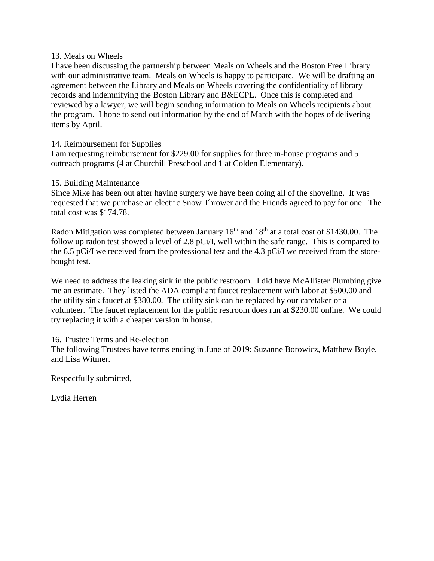#### 13. Meals on Wheels

I have been discussing the partnership between Meals on Wheels and the Boston Free Library with our administrative team. Meals on Wheels is happy to participate. We will be drafting an agreement between the Library and Meals on Wheels covering the confidentiality of library records and indemnifying the Boston Library and B&ECPL. Once this is completed and reviewed by a lawyer, we will begin sending information to Meals on Wheels recipients about the program. I hope to send out information by the end of March with the hopes of delivering items by April.

#### 14. Reimbursement for Supplies

I am requesting reimbursement for \$229.00 for supplies for three in-house programs and 5 outreach programs (4 at Churchill Preschool and 1 at Colden Elementary).

#### 15. Building Maintenance

Since Mike has been out after having surgery we have been doing all of the shoveling. It was requested that we purchase an electric Snow Thrower and the Friends agreed to pay for one. The total cost was \$174.78.

Radon Mitigation was completed between January  $16<sup>th</sup>$  and  $18<sup>th</sup>$  at a total cost of \$1430.00. The follow up radon test showed a level of 2.8 pCi/I, well within the safe range. This is compared to the 6.5 pCi/I we received from the professional test and the 4.3 pCi/I we received from the storebought test.

We need to address the leaking sink in the public restroom. I did have McAllister Plumbing give me an estimate. They listed the ADA compliant faucet replacement with labor at \$500.00 and the utility sink faucet at \$380.00. The utility sink can be replaced by our caretaker or a volunteer. The faucet replacement for the public restroom does run at \$230.00 online. We could try replacing it with a cheaper version in house.

#### 16. Trustee Terms and Re-election

The following Trustees have terms ending in June of 2019: Suzanne Borowicz, Matthew Boyle, and Lisa Witmer.

Respectfully submitted,

Lydia Herren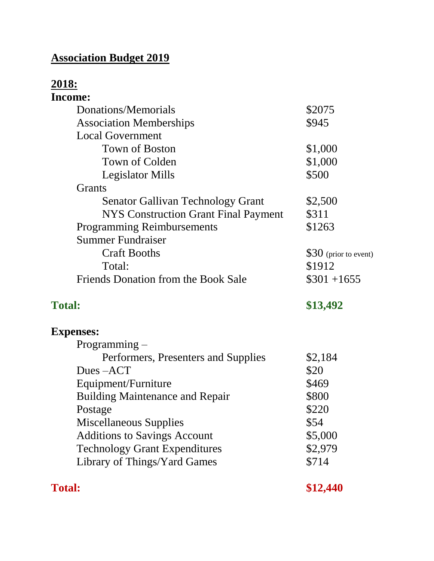# **Association Budget 2019**

# **2018:**

| Income:                                     |                       |
|---------------------------------------------|-----------------------|
| Donations/Memorials                         | \$2075                |
| <b>Association Memberships</b>              | \$945                 |
| <b>Local Government</b>                     |                       |
| <b>Town of Boston</b>                       | \$1,000               |
| Town of Colden                              | \$1,000               |
| <b>Legislator Mills</b>                     | \$500                 |
| <b>Grants</b>                               |                       |
| <b>Senator Gallivan Technology Grant</b>    | \$2,500               |
| <b>NYS Construction Grant Final Payment</b> | \$311                 |
| <b>Programming Reimbursements</b>           | \$1263                |
| <b>Summer Fundraiser</b>                    |                       |
| <b>Craft Booths</b>                         | \$30 (prior to event) |
| Total:                                      | \$1912                |
| <b>Friends Donation from the Book Sale</b>  | $$301 + 1655$         |
| <b>Total:</b>                               | \$13,492              |
| <b>Expenses:</b>                            |                       |
| Programming –                               |                       |
| Performers, Presenters and Supplies         | \$2,184               |
| Dues-ACT                                    | \$20                  |
| Equipment/Furniture                         | \$469                 |
| <b>Building Maintenance and Repair</b>      | \$800                 |
| Postage                                     | \$220                 |
| <b>Miscellaneous Supplies</b>               | \$54                  |
| <b>Additions to Savings Account</b>         | \$5,000               |
| <b>Technology Grant Expenditures</b>        | \$2,979               |
| Library of Things/Yard Games                | \$714                 |
|                                             |                       |

**Total:** \$12,440